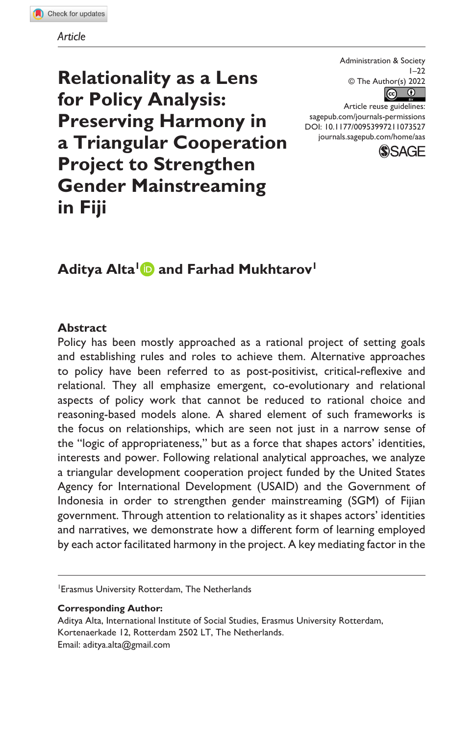**Relationality as a Lens for Policy Analysis: Preserving Harmony in a Triangular Cooperation Project to Strengthen Gender Mainstreaming in Fiji**

Administration & Society  $1 - 22$  $\circledcirc$  The Author(s) 2022

DOI: 10.1177/00953997211073527 Article reuse guidelines: [sagepub.com/journals-permissions](https://us.sagepub.com/en-us/journals-permissions) [journals.sagepub.com/home/aas](https://journals.sagepub.com/home/aas)



# Aditya Alta<sup>1</sup> and Farhad Mukhtarov<sup>1</sup>

#### **Abstract**

Policy has been mostly approached as a rational project of setting goals and establishing rules and roles to achieve them. Alternative approaches to policy have been referred to as post-positivist, critical-reflexive and relational. They all emphasize emergent, co-evolutionary and relational aspects of policy work that cannot be reduced to rational choice and reasoning-based models alone. A shared element of such frameworks is the focus on relationships, which are seen not just in a narrow sense of the "logic of appropriateness," but as a force that shapes actors' identities, interests and power. Following relational analytical approaches, we analyze a triangular development cooperation project funded by the United States Agency for International Development (USAID) and the Government of Indonesia in order to strengthen gender mainstreaming (SGM) of Fijian government. Through attention to relationality as it shapes actors' identities and narratives, we demonstrate how a different form of learning employed by each actor facilitated harmony in the project. A key mediating factor in the

1 Erasmus University Rotterdam, The Netherlands

**Corresponding Author:**

Aditya Alta, International Institute of Social Studies, Erasmus University Rotterdam, Kortenaerkade 12, Rotterdam 2502 LT, The Netherlands. Email: [aditya.alta@gmail.com](mailto:aditya.alta@gmail.com)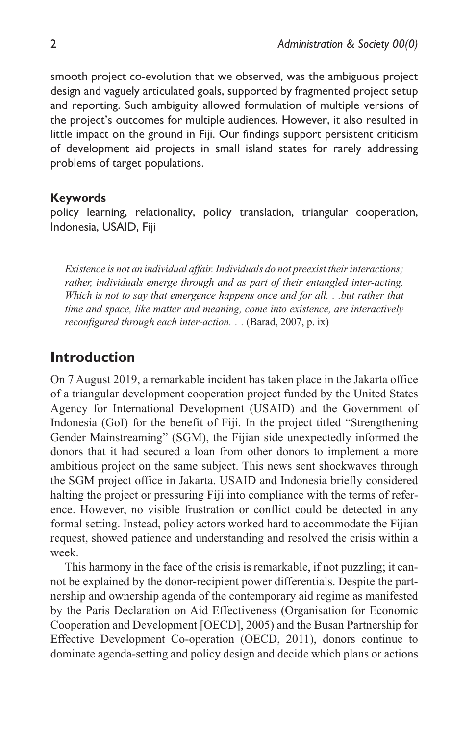smooth project co-evolution that we observed, was the ambiguous project design and vaguely articulated goals, supported by fragmented project setup and reporting. Such ambiguity allowed formulation of multiple versions of the project's outcomes for multiple audiences. However, it also resulted in little impact on the ground in Fiji. Our findings support persistent criticism of development aid projects in small island states for rarely addressing problems of target populations.

#### **Keywords**

policy learning, relationality, policy translation, triangular cooperation, Indonesia, USAID, Fiji

*Existence is not an individual affair. Individuals do not preexist their interactions; rather, individuals emerge through and as part of their entangled inter-acting. Which is not to say that emergence happens once and for all. . .but rather that time and space, like matter and meaning, come into existence, are interactively reconfigured through each inter-action. . .* (Barad, 2007, p. ix)

# **Introduction**

On 7 August 2019, a remarkable incident has taken place in the Jakarta office of a triangular development cooperation project funded by the United States Agency for International Development (USAID) and the Government of Indonesia (GoI) for the benefit of Fiji. In the project titled "Strengthening Gender Mainstreaming" (SGM), the Fijian side unexpectedly informed the donors that it had secured a loan from other donors to implement a more ambitious project on the same subject. This news sent shockwaves through the SGM project office in Jakarta. USAID and Indonesia briefly considered halting the project or pressuring Fiji into compliance with the terms of reference. However, no visible frustration or conflict could be detected in any formal setting. Instead, policy actors worked hard to accommodate the Fijian request, showed patience and understanding and resolved the crisis within a week.

This harmony in the face of the crisis is remarkable, if not puzzling; it cannot be explained by the donor-recipient power differentials. Despite the partnership and ownership agenda of the contemporary aid regime as manifested by the Paris Declaration on Aid Effectiveness (Organisation for Economic Cooperation and Development [OECD], 2005) and the Busan Partnership for Effective Development Co-operation (OECD, 2011), donors continue to dominate agenda-setting and policy design and decide which plans or actions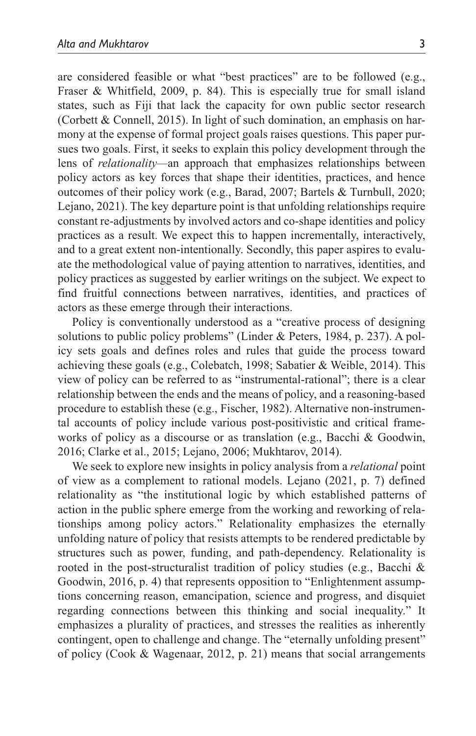are considered feasible or what "best practices" are to be followed (e.g., Fraser & Whitfield, 2009, p. 84). This is especially true for small island states, such as Fiji that lack the capacity for own public sector research (Corbett & Connell, 2015). In light of such domination, an emphasis on harmony at the expense of formal project goals raises questions. This paper pursues two goals. First, it seeks to explain this policy development through the lens of *relationality—*an approach that emphasizes relationships between policy actors as key forces that shape their identities, practices, and hence outcomes of their policy work (e.g., Barad, 2007; Bartels & Turnbull, 2020; Lejano, 2021). The key departure point is that unfolding relationships require constant re-adjustments by involved actors and co-shape identities and policy practices as a result. We expect this to happen incrementally, interactively, and to a great extent non-intentionally. Secondly, this paper aspires to evaluate the methodological value of paying attention to narratives, identities, and policy practices as suggested by earlier writings on the subject. We expect to find fruitful connections between narratives, identities, and practices of actors as these emerge through their interactions.

Policy is conventionally understood as a "creative process of designing solutions to public policy problems" (Linder & Peters, 1984, p. 237). A policy sets goals and defines roles and rules that guide the process toward achieving these goals (e.g., Colebatch, 1998; Sabatier & Weible, 2014). This view of policy can be referred to as "instrumental-rational"; there is a clear relationship between the ends and the means of policy, and a reasoning-based procedure to establish these (e.g., Fischer, 1982). Alternative non-instrumental accounts of policy include various post-positivistic and critical frameworks of policy as a discourse or as translation (e.g., Bacchi & Goodwin, 2016; Clarke et al., 2015; Lejano, 2006; Mukhtarov, 2014).

We seek to explore new insights in policy analysis from a *relational* point of view as a complement to rational models. Lejano (2021, p. 7) defined relationality as "the institutional logic by which established patterns of action in the public sphere emerge from the working and reworking of relationships among policy actors." Relationality emphasizes the eternally unfolding nature of policy that resists attempts to be rendered predictable by structures such as power, funding, and path-dependency. Relationality is rooted in the post-structuralist tradition of policy studies (e.g., Bacchi & Goodwin, 2016, p. 4) that represents opposition to "Enlightenment assumptions concerning reason, emancipation, science and progress, and disquiet regarding connections between this thinking and social inequality." It emphasizes a plurality of practices, and stresses the realities as inherently contingent, open to challenge and change. The "eternally unfolding present" of policy (Cook & Wagenaar, 2012, p. 21) means that social arrangements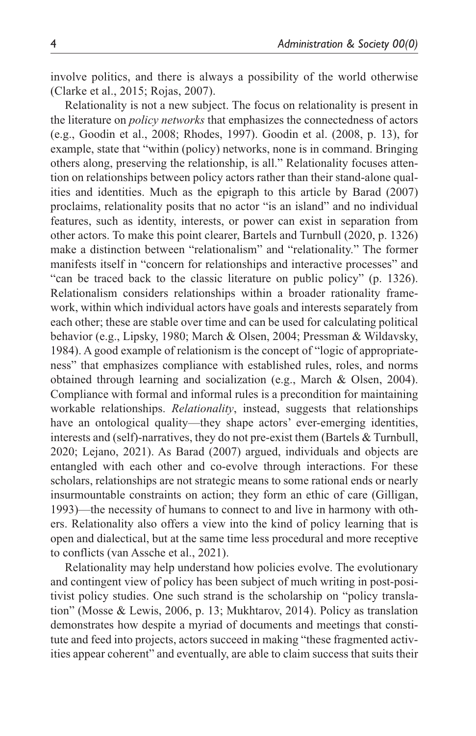involve politics, and there is always a possibility of the world otherwise (Clarke et al., 2015; Rojas, 2007).

Relationality is not a new subject. The focus on relationality is present in the literature on *policy networks* that emphasizes the connectedness of actors (e.g., Goodin et al., 2008; Rhodes, 1997). Goodin et al. (2008, p. 13), for example, state that "within (policy) networks, none is in command. Bringing others along, preserving the relationship, is all." Relationality focuses attention on relationships between policy actors rather than their stand-alone qualities and identities. Much as the epigraph to this article by Barad (2007) proclaims, relationality posits that no actor "is an island" and no individual features, such as identity, interests, or power can exist in separation from other actors. To make this point clearer, Bartels and Turnbull (2020, p. 1326) make a distinction between "relationalism" and "relationality." The former manifests itself in "concern for relationships and interactive processes" and "can be traced back to the classic literature on public policy" (p. 1326). Relationalism considers relationships within a broader rationality framework, within which individual actors have goals and interests separately from each other; these are stable over time and can be used for calculating political behavior (e.g., Lipsky, 1980; March & Olsen, 2004; Pressman & Wildavsky, 1984). A good example of relationism is the concept of "logic of appropriateness" that emphasizes compliance with established rules, roles, and norms obtained through learning and socialization (e.g., March & Olsen, 2004). Compliance with formal and informal rules is a precondition for maintaining workable relationships. *Relationality*, instead, suggests that relationships have an ontological quality—they shape actors' ever-emerging identities, interests and (self)-narratives, they do not pre-exist them (Bartels & Turnbull, 2020; Lejano, 2021). As Barad (2007) argued, individuals and objects are entangled with each other and co-evolve through interactions. For these scholars, relationships are not strategic means to some rational ends or nearly insurmountable constraints on action; they form an ethic of care (Gilligan, 1993)—the necessity of humans to connect to and live in harmony with others. Relationality also offers a view into the kind of policy learning that is open and dialectical, but at the same time less procedural and more receptive to conflicts (van Assche et al., 2021).

Relationality may help understand how policies evolve. The evolutionary and contingent view of policy has been subject of much writing in post-positivist policy studies. One such strand is the scholarship on "policy translation" (Mosse & Lewis, 2006, p. 13; Mukhtarov, 2014). Policy as translation demonstrates how despite a myriad of documents and meetings that constitute and feed into projects, actors succeed in making "these fragmented activities appear coherent" and eventually, are able to claim success that suits their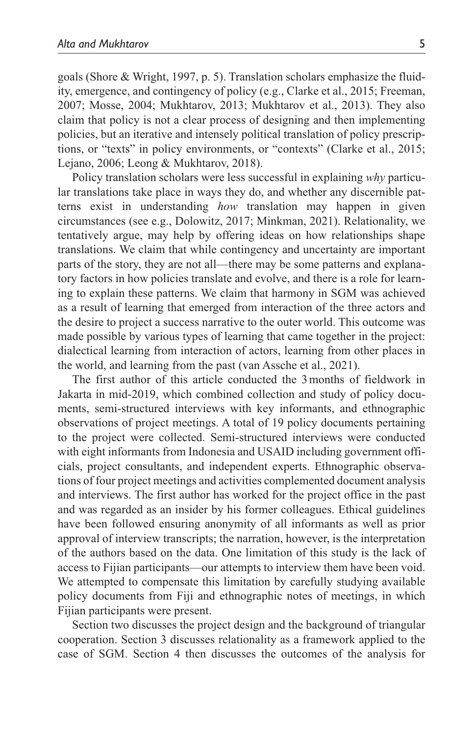goals (Shore & Wright, 1997, p. 5). Translation scholars emphasize the fluidity, emergence, and contingency of policy (e.g., Clarke et al., 2015; Freeman, 2007; Mosse, 2004; Mukhtarov, 2013; Mukhtarov et al., 2013). They also claim that policy is not a clear process of designing and then implementing policies, but an iterative and intensely political translation of policy prescriptions, or "texts" in policy environments, or "contexts" (Clarke et al., 2015; Lejano, 2006; Leong & Mukhtarov, 2018).

Policy translation scholars were less successful in explaining *why* particular translations take place in ways they do, and whether any discernible patterns exist in understanding *how* translation may happen in given circumstances (see e.g., Dolowitz, 2017; Minkman, 2021). Relationality, we tentatively argue, may help by offering ideas on how relationships shape translations. We claim that while contingency and uncertainty are important parts of the story, they are not all—there may be some patterns and explanatory factors in how policies translate and evolve, and there is a role for learning to explain these patterns. We claim that harmony in SGM was achieved as a result of learning that emerged from interaction of the three actors and the desire to project a success narrative to the outer world. This outcome was made possible by various types of learning that came together in the project: dialectical learning from interaction of actors, learning from other places in the world, and learning from the past (van Assche et al., 2021).

The first author of this article conducted the 3months of fieldwork in Jakarta in mid-2019, which combined collection and study of policy documents, semi-structured interviews with key informants, and ethnographic observations of project meetings. A total of 19 policy documents pertaining to the project were collected. Semi-structured interviews were conducted with eight informants from Indonesia and USAID including government officials, project consultants, and independent experts. Ethnographic observations of four project meetings and activities complemented document analysis and interviews. The first author has worked for the project office in the past and was regarded as an insider by his former colleagues. Ethical guidelines have been followed ensuring anonymity of all informants as well as prior approval of interview transcripts; the narration, however, is the interpretation of the authors based on the data. One limitation of this study is the lack of access to Fijian participants—our attempts to interview them have been void. We attempted to compensate this limitation by carefully studying available policy documents from Fiji and ethnographic notes of meetings, in which Fijian participants were present.

Section two discusses the project design and the background of triangular cooperation. Section 3 discusses relationality as a framework applied to the case of SGM. Section 4 then discusses the outcomes of the analysis for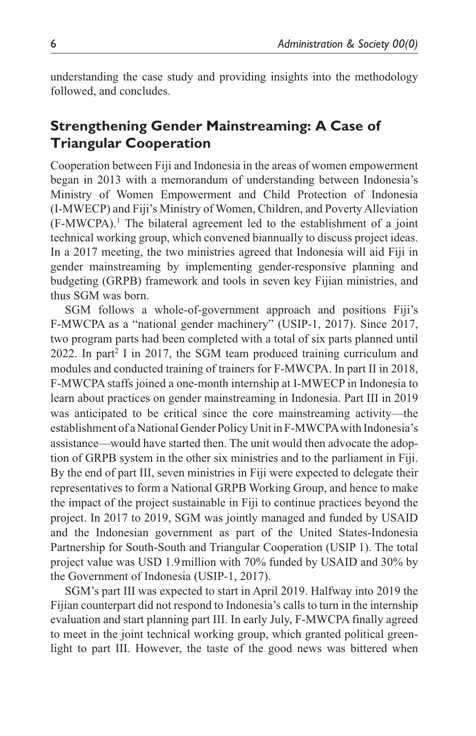understanding the case study and providing insights into the methodology followed, and concludes.

# **Strengthening Gender Mainstreaming: A Case of Triangular Cooperation**

Cooperation between Fiji and Indonesia in the areas of women empowerment began in 2013 with a memorandum of understanding between Indonesia's Ministry of Women Empowerment and Child Protection of Indonesia (I-MWECP) and Fiji's Ministry of Women, Children, and Poverty Alleviation (F-MWCPA).<sup>1</sup> The bilateral agreement led to the establishment of a joint technical working group, which convened biannually to discuss project ideas. In a 2017 meeting, the two ministries agreed that Indonesia will aid Fiji in gender mainstreaming by implementing gender-responsive planning and budgeting (GRPB) framework and tools in seven key Fijian ministries, and thus SGM was born.

SGM follows a whole-of-government approach and positions Fiji's F-MWCPA as a "national gender machinery" (USIP-1, 2017). Since 2017, two program parts had been completed with a total of six parts planned until 2022. In part<sup>2</sup> I in 2017, the SGM team produced training curriculum and modules and conducted training of trainers for F-MWCPA. In part II in 2018, F-MWCPA staffs joined a one-month internship at I-MWECP in Indonesia to learn about practices on gender mainstreaming in Indonesia. Part III in 2019 was anticipated to be critical since the core mainstreaming activity—the establishment of a National Gender Policy Unit in F-MWCPA with Indonesia's assistance—would have started then. The unit would then advocate the adoption of GRPB system in the other six ministries and to the parliament in Fiji. By the end of part III, seven ministries in Fiji were expected to delegate their representatives to form a National GRPB Working Group, and hence to make the impact of the project sustainable in Fiji to continue practices beyond the project. In 2017 to 2019, SGM was jointly managed and funded by USAID and the Indonesian government as part of the United States-Indonesia Partnership for South-South and Triangular Cooperation (USIP 1). The total project value was USD 1.9million with 70% funded by USAID and 30% by the Government of Indonesia (USIP-1, 2017).

SGM's part III was expected to start in April 2019. Halfway into 2019 the Fijian counterpart did not respond to Indonesia's calls to turn in the internship evaluation and start planning part III. In early July, F-MWCPA finally agreed to meet in the joint technical working group, which granted political greenlight to part III. However, the taste of the good news was bittered when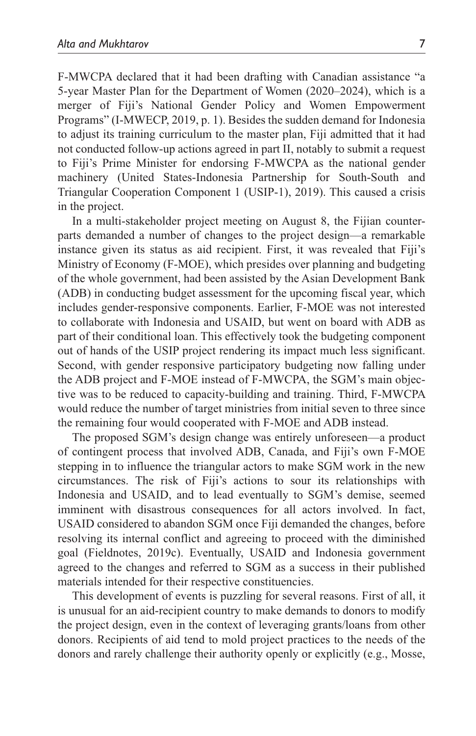F-MWCPA declared that it had been drafting with Canadian assistance "a 5-year Master Plan for the Department of Women (2020–2024), which is a merger of Fiji's National Gender Policy and Women Empowerment Programs" (I-MWECP, 2019, p. 1). Besides the sudden demand for Indonesia to adjust its training curriculum to the master plan, Fiji admitted that it had not conducted follow-up actions agreed in part II, notably to submit a request to Fiji's Prime Minister for endorsing F-MWCPA as the national gender machinery (United States-Indonesia Partnership for South-South and Triangular Cooperation Component 1 (USIP-1), 2019). This caused a crisis in the project.

In a multi-stakeholder project meeting on August 8, the Fijian counterparts demanded a number of changes to the project design—a remarkable instance given its status as aid recipient. First, it was revealed that Fiji's Ministry of Economy (F-MOE), which presides over planning and budgeting of the whole government, had been assisted by the Asian Development Bank (ADB) in conducting budget assessment for the upcoming fiscal year, which includes gender-responsive components. Earlier, F-MOE was not interested to collaborate with Indonesia and USAID, but went on board with ADB as part of their conditional loan. This effectively took the budgeting component out of hands of the USIP project rendering its impact much less significant. Second, with gender responsive participatory budgeting now falling under the ADB project and F-MOE instead of F-MWCPA, the SGM's main objective was to be reduced to capacity-building and training. Third, F-MWCPA would reduce the number of target ministries from initial seven to three since the remaining four would cooperated with F-MOE and ADB instead.

The proposed SGM's design change was entirely unforeseen—a product of contingent process that involved ADB, Canada, and Fiji's own F-MOE stepping in to influence the triangular actors to make SGM work in the new circumstances. The risk of Fiji's actions to sour its relationships with Indonesia and USAID, and to lead eventually to SGM's demise, seemed imminent with disastrous consequences for all actors involved. In fact, USAID considered to abandon SGM once Fiji demanded the changes, before resolving its internal conflict and agreeing to proceed with the diminished goal (Fieldnotes, 2019c). Eventually, USAID and Indonesia government agreed to the changes and referred to SGM as a success in their published materials intended for their respective constituencies.

This development of events is puzzling for several reasons. First of all, it is unusual for an aid-recipient country to make demands to donors to modify the project design, even in the context of leveraging grants/loans from other donors. Recipients of aid tend to mold project practices to the needs of the donors and rarely challenge their authority openly or explicitly (e.g., Mosse,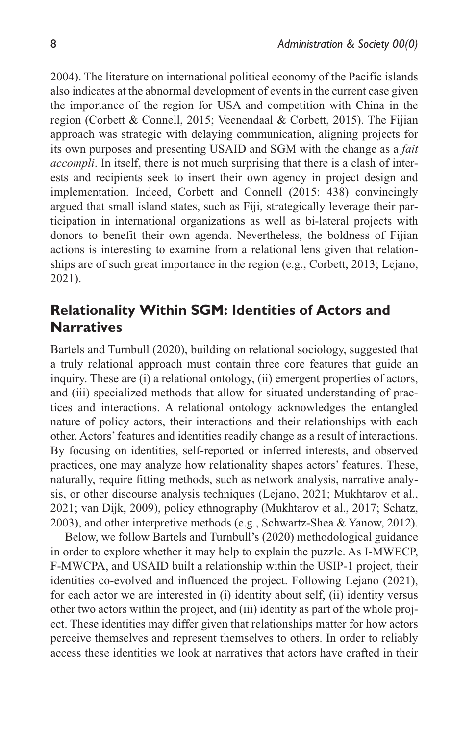2004). The literature on international political economy of the Pacific islands also indicates at the abnormal development of events in the current case given the importance of the region for USA and competition with China in the region (Corbett & Connell, 2015; Veenendaal & Corbett, 2015). The Fijian approach was strategic with delaying communication, aligning projects for its own purposes and presenting USAID and SGM with the change as a *fait accompli*. In itself, there is not much surprising that there is a clash of interests and recipients seek to insert their own agency in project design and implementation. Indeed, Corbett and Connell (2015: 438) convincingly argued that small island states, such as Fiji, strategically leverage their participation in international organizations as well as bi-lateral projects with donors to benefit their own agenda. Nevertheless, the boldness of Fijian actions is interesting to examine from a relational lens given that relationships are of such great importance in the region (e.g., Corbett, 2013; Lejano, 2021).

# **Relationality Within SGM: Identities of Actors and Narratives**

Bartels and Turnbull (2020), building on relational sociology, suggested that a truly relational approach must contain three core features that guide an inquiry. These are (i) a relational ontology, (ii) emergent properties of actors, and (iii) specialized methods that allow for situated understanding of practices and interactions. A relational ontology acknowledges the entangled nature of policy actors, their interactions and their relationships with each other. Actors' features and identities readily change as a result of interactions. By focusing on identities, self-reported or inferred interests, and observed practices, one may analyze how relationality shapes actors' features. These, naturally, require fitting methods, such as network analysis, narrative analysis, or other discourse analysis techniques (Lejano, 2021; Mukhtarov et al., 2021; van Dijk, 2009), policy ethnography (Mukhtarov et al., 2017; Schatz, 2003), and other interpretive methods (e.g., Schwartz-Shea & Yanow, 2012).

Below, we follow Bartels and Turnbull's (2020) methodological guidance in order to explore whether it may help to explain the puzzle. As I-MWECP, F-MWCPA, and USAID built a relationship within the USIP-1 project, their identities co-evolved and influenced the project. Following Lejano (2021), for each actor we are interested in (i) identity about self, (ii) identity versus other two actors within the project, and (iii) identity as part of the whole project. These identities may differ given that relationships matter for how actors perceive themselves and represent themselves to others. In order to reliably access these identities we look at narratives that actors have crafted in their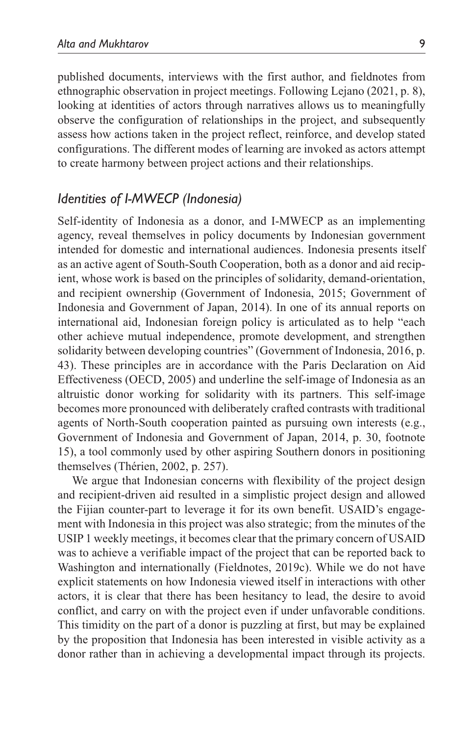published documents, interviews with the first author, and fieldnotes from ethnographic observation in project meetings. Following Lejano (2021, p. 8), looking at identities of actors through narratives allows us to meaningfully observe the configuration of relationships in the project, and subsequently assess how actions taken in the project reflect, reinforce, and develop stated configurations. The different modes of learning are invoked as actors attempt to create harmony between project actions and their relationships.

# *Identities of I-MWECP (Indonesia)*

Self-identity of Indonesia as a donor, and I-MWECP as an implementing agency, reveal themselves in policy documents by Indonesian government intended for domestic and international audiences. Indonesia presents itself as an active agent of South-South Cooperation, both as a donor and aid recipient, whose work is based on the principles of solidarity, demand-orientation, and recipient ownership (Government of Indonesia, 2015; Government of Indonesia and Government of Japan, 2014). In one of its annual reports on international aid, Indonesian foreign policy is articulated as to help "each other achieve mutual independence, promote development, and strengthen solidarity between developing countries" (Government of Indonesia, 2016, p. 43). These principles are in accordance with the Paris Declaration on Aid Effectiveness (OECD, 2005) and underline the self-image of Indonesia as an altruistic donor working for solidarity with its partners. This self-image becomes more pronounced with deliberately crafted contrasts with traditional agents of North-South cooperation painted as pursuing own interests (e.g., Government of Indonesia and Government of Japan, 2014, p. 30, footnote 15), a tool commonly used by other aspiring Southern donors in positioning themselves (Thérien, 2002, p. 257).

We argue that Indonesian concerns with flexibility of the project design and recipient-driven aid resulted in a simplistic project design and allowed the Fijian counter-part to leverage it for its own benefit. USAID's engagement with Indonesia in this project was also strategic; from the minutes of the USIP 1 weekly meetings, it becomes clear that the primary concern of USAID was to achieve a verifiable impact of the project that can be reported back to Washington and internationally (Fieldnotes, 2019c). While we do not have explicit statements on how Indonesia viewed itself in interactions with other actors, it is clear that there has been hesitancy to lead, the desire to avoid conflict, and carry on with the project even if under unfavorable conditions. This timidity on the part of a donor is puzzling at first, but may be explained by the proposition that Indonesia has been interested in visible activity as a donor rather than in achieving a developmental impact through its projects.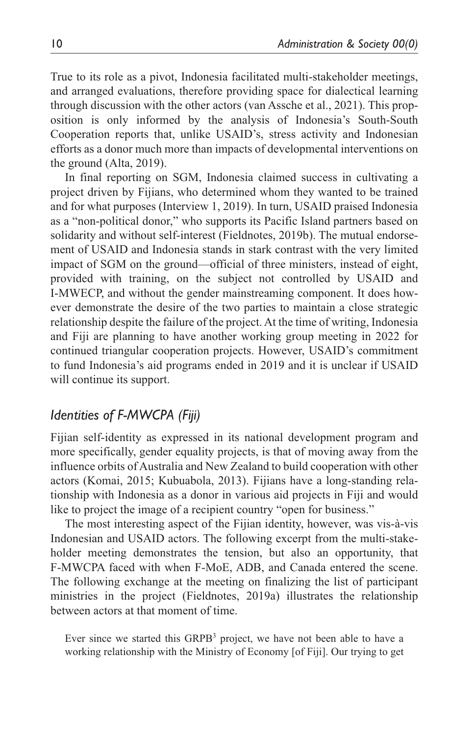True to its role as a pivot, Indonesia facilitated multi-stakeholder meetings, and arranged evaluations, therefore providing space for dialectical learning through discussion with the other actors (van Assche et al., 2021). This proposition is only informed by the analysis of Indonesia's South-South Cooperation reports that, unlike USAID's, stress activity and Indonesian efforts as a donor much more than impacts of developmental interventions on the ground (Alta, 2019).

In final reporting on SGM, Indonesia claimed success in cultivating a project driven by Fijians, who determined whom they wanted to be trained and for what purposes (Interview 1, 2019). In turn, USAID praised Indonesia as a "non-political donor," who supports its Pacific Island partners based on solidarity and without self-interest (Fieldnotes, 2019b). The mutual endorsement of USAID and Indonesia stands in stark contrast with the very limited impact of SGM on the ground—official of three ministers, instead of eight, provided with training, on the subject not controlled by USAID and I-MWECP, and without the gender mainstreaming component. It does however demonstrate the desire of the two parties to maintain a close strategic relationship despite the failure of the project. At the time of writing, Indonesia and Fiji are planning to have another working group meeting in 2022 for continued triangular cooperation projects. However, USAID's commitment to fund Indonesia's aid programs ended in 2019 and it is unclear if USAID will continue its support.

# *Identities of F-MWCPA (Fiji)*

Fijian self-identity as expressed in its national development program and more specifically, gender equality projects, is that of moving away from the influence orbits of Australia and New Zealand to build cooperation with other actors (Komai, 2015; Kubuabola, 2013). Fijians have a long-standing relationship with Indonesia as a donor in various aid projects in Fiji and would like to project the image of a recipient country "open for business."

The most interesting aspect of the Fijian identity, however, was vis-à-vis Indonesian and USAID actors. The following excerpt from the multi-stakeholder meeting demonstrates the tension, but also an opportunity, that F-MWCPA faced with when F-MoE, ADB, and Canada entered the scene. The following exchange at the meeting on finalizing the list of participant ministries in the project (Fieldnotes, 2019a) illustrates the relationship between actors at that moment of time.

Ever since we started this  $GRPB<sup>3</sup>$  project, we have not been able to have a working relationship with the Ministry of Economy [of Fiji]. Our trying to get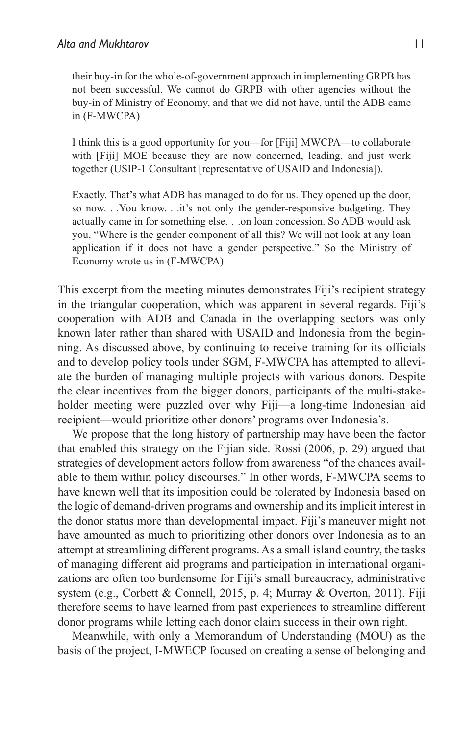their buy-in for the whole-of-government approach in implementing GRPB has not been successful. We cannot do GRPB with other agencies without the buy-in of Ministry of Economy, and that we did not have, until the ADB came in (F-MWCPA)

I think this is a good opportunity for you—for [Fiji] MWCPA—to collaborate with [Fiji] MOE because they are now concerned, leading, and just work together (USIP-1 Consultant [representative of USAID and Indonesia]).

Exactly. That's what ADB has managed to do for us. They opened up the door, so now. . .You know. . .it's not only the gender-responsive budgeting. They actually came in for something else. . .on loan concession. So ADB would ask you, "Where is the gender component of all this? We will not look at any loan application if it does not have a gender perspective." So the Ministry of Economy wrote us in (F-MWCPA).

This excerpt from the meeting minutes demonstrates Fiji's recipient strategy in the triangular cooperation, which was apparent in several regards. Fiji's cooperation with ADB and Canada in the overlapping sectors was only known later rather than shared with USAID and Indonesia from the beginning. As discussed above, by continuing to receive training for its officials and to develop policy tools under SGM, F-MWCPA has attempted to alleviate the burden of managing multiple projects with various donors. Despite the clear incentives from the bigger donors, participants of the multi-stakeholder meeting were puzzled over why Fiji—a long-time Indonesian aid recipient—would prioritize other donors' programs over Indonesia's.

We propose that the long history of partnership may have been the factor that enabled this strategy on the Fijian side. Rossi (2006, p. 29) argued that strategies of development actors follow from awareness "of the chances available to them within policy discourses." In other words, F-MWCPA seems to have known well that its imposition could be tolerated by Indonesia based on the logic of demand-driven programs and ownership and its implicit interest in the donor status more than developmental impact. Fiji's maneuver might not have amounted as much to prioritizing other donors over Indonesia as to an attempt at streamlining different programs. As a small island country, the tasks of managing different aid programs and participation in international organizations are often too burdensome for Fiji's small bureaucracy, administrative system (e.g., Corbett & Connell, 2015, p. 4; Murray & Overton, 2011). Fiji therefore seems to have learned from past experiences to streamline different donor programs while letting each donor claim success in their own right.

Meanwhile, with only a Memorandum of Understanding (MOU) as the basis of the project, I-MWECP focused on creating a sense of belonging and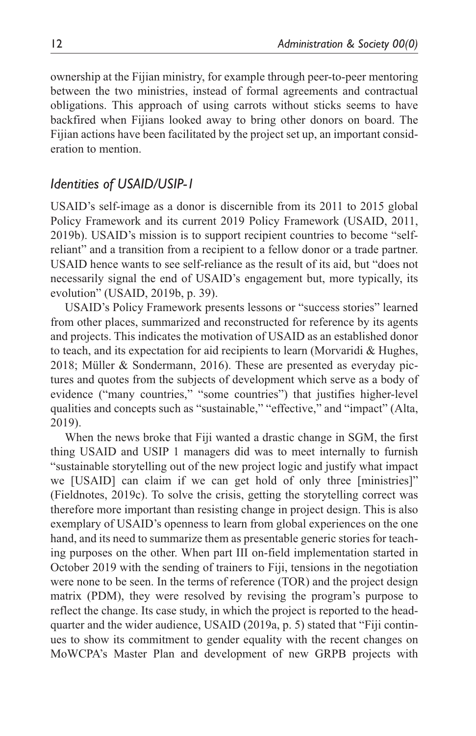ownership at the Fijian ministry, for example through peer-to-peer mentoring between the two ministries, instead of formal agreements and contractual obligations. This approach of using carrots without sticks seems to have backfired when Fijians looked away to bring other donors on board. The Fijian actions have been facilitated by the project set up, an important consideration to mention.

# *Identities of USAID/USIP-1*

USAID's self-image as a donor is discernible from its 2011 to 2015 global Policy Framework and its current 2019 Policy Framework (USAID, 2011, 2019b). USAID's mission is to support recipient countries to become "selfreliant" and a transition from a recipient to a fellow donor or a trade partner. USAID hence wants to see self-reliance as the result of its aid, but "does not necessarily signal the end of USAID's engagement but, more typically, its evolution" (USAID, 2019b, p. 39).

USAID's Policy Framework presents lessons or "success stories" learned from other places, summarized and reconstructed for reference by its agents and projects. This indicates the motivation of USAID as an established donor to teach, and its expectation for aid recipients to learn (Morvaridi & Hughes, 2018; Müller & Sondermann, 2016). These are presented as everyday pictures and quotes from the subjects of development which serve as a body of evidence ("many countries," "some countries") that justifies higher-level qualities and concepts such as "sustainable," "effective," and "impact" (Alta, 2019).

When the news broke that Fiji wanted a drastic change in SGM, the first thing USAID and USIP 1 managers did was to meet internally to furnish "sustainable storytelling out of the new project logic and justify what impact we [USAID] can claim if we can get hold of only three [ministries]" (Fieldnotes, 2019c). To solve the crisis, getting the storytelling correct was therefore more important than resisting change in project design. This is also exemplary of USAID's openness to learn from global experiences on the one hand, and its need to summarize them as presentable generic stories for teaching purposes on the other. When part III on-field implementation started in October 2019 with the sending of trainers to Fiji, tensions in the negotiation were none to be seen. In the terms of reference (TOR) and the project design matrix (PDM), they were resolved by revising the program's purpose to reflect the change. Its case study, in which the project is reported to the headquarter and the wider audience, USAID (2019a, p. 5) stated that "Fiji continues to show its commitment to gender equality with the recent changes on MoWCPA's Master Plan and development of new GRPB projects with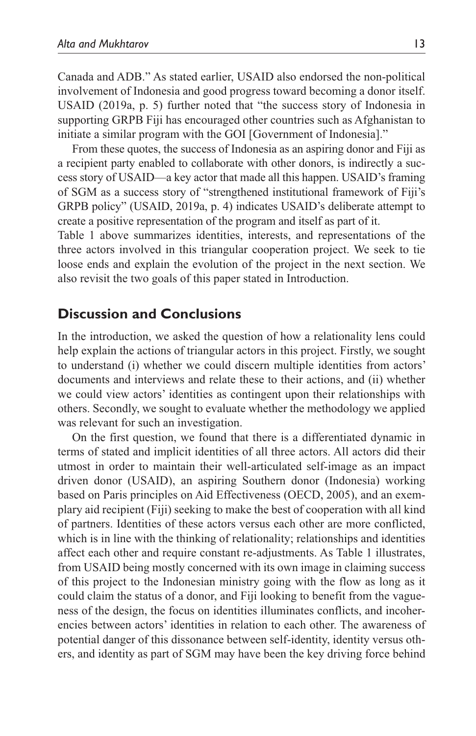Canada and ADB." As stated earlier, USAID also endorsed the non-political involvement of Indonesia and good progress toward becoming a donor itself. USAID (2019a, p. 5) further noted that "the success story of Indonesia in supporting GRPB Fiji has encouraged other countries such as Afghanistan to initiate a similar program with the GOI [Government of Indonesia]."

From these quotes, the success of Indonesia as an aspiring donor and Fiji as a recipient party enabled to collaborate with other donors, is indirectly a success story of USAID—a key actor that made all this happen. USAID's framing of SGM as a success story of "strengthened institutional framework of Fiji's GRPB policy" (USAID, 2019a, p. 4) indicates USAID's deliberate attempt to create a positive representation of the program and itself as part of it.

Table 1 above summarizes identities, interests, and representations of the three actors involved in this triangular cooperation project. We seek to tie loose ends and explain the evolution of the project in the next section. We also revisit the two goals of this paper stated in Introduction.

# **Discussion and Conclusions**

In the introduction, we asked the question of how a relationality lens could help explain the actions of triangular actors in this project. Firstly, we sought to understand (i) whether we could discern multiple identities from actors' documents and interviews and relate these to their actions, and (ii) whether we could view actors' identities as contingent upon their relationships with others. Secondly, we sought to evaluate whether the methodology we applied was relevant for such an investigation.

On the first question, we found that there is a differentiated dynamic in terms of stated and implicit identities of all three actors. All actors did their utmost in order to maintain their well-articulated self-image as an impact driven donor (USAID), an aspiring Southern donor (Indonesia) working based on Paris principles on Aid Effectiveness (OECD, 2005), and an exemplary aid recipient (Fiji) seeking to make the best of cooperation with all kind of partners. Identities of these actors versus each other are more conflicted, which is in line with the thinking of relationality; relationships and identities affect each other and require constant re-adjustments. As Table 1 illustrates, from USAID being mostly concerned with its own image in claiming success of this project to the Indonesian ministry going with the flow as long as it could claim the status of a donor, and Fiji looking to benefit from the vagueness of the design, the focus on identities illuminates conflicts, and incoherencies between actors' identities in relation to each other. The awareness of potential danger of this dissonance between self-identity, identity versus others, and identity as part of SGM may have been the key driving force behind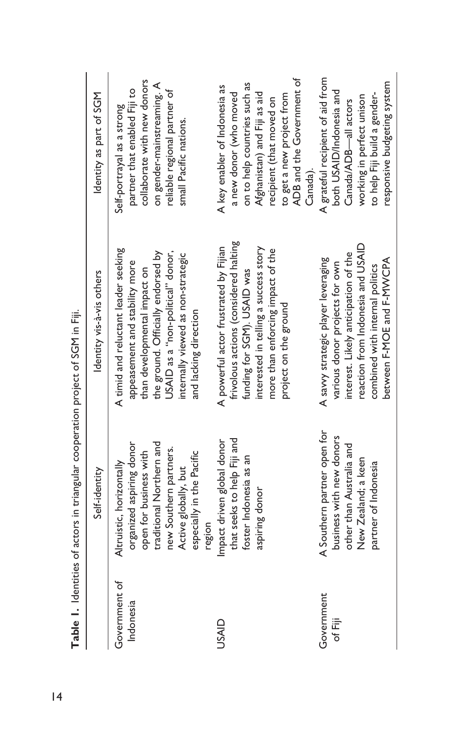|                            | Table 1. Identities of actors in triangular cooperation project of SGM in Fiji.                                                                                                           |                                                                                                                                                                                                                                                  |                                                                                                                                                                                                               |
|----------------------------|-------------------------------------------------------------------------------------------------------------------------------------------------------------------------------------------|--------------------------------------------------------------------------------------------------------------------------------------------------------------------------------------------------------------------------------------------------|---------------------------------------------------------------------------------------------------------------------------------------------------------------------------------------------------------------|
|                            | Self-identity                                                                                                                                                                             | Identity vis-à-vis others                                                                                                                                                                                                                        | Identity as part of SGM                                                                                                                                                                                       |
| Government of<br>Indonesia | traditional Northern and<br>organized aspiring donor<br>new Southern partners.<br>open for business with<br>especially in the Pacific<br>Altruistic, horizontally<br>Active globally, but | A timid and reluctant leader seeking<br>the ground. Officially endorsed by<br>USAID as a "non-political" donor,<br>internally viewed as non-strategic<br>appeasement and stability more<br>than developmental impact on<br>and lacking direction | collaborate with new donors<br>on gender-mainstreaming. A<br>partner that enabled Fiji to<br>reliable regional partner of<br>Self-portrayal as a strong<br>small Pacific nations.                             |
| USAID                      | that seeks to help Fiji and<br>Impact driven global donor<br>foster Indonesia as an<br>aspiring donor<br>region                                                                           | frivolous actions (considered halting<br>A powerful actor frustrated by Fijian<br>interested in telling a success story<br>more than enforcing impact of the<br>funding for SGM). USAID was<br>project on the ground                             | ADB and the Government of<br>on to help countries such as<br>A key enabler of Indonesia as<br>a new donor (who moved<br>Afghanistan) and Fiji as aid<br>to get a new project from<br>recipient (that moved on |
| Government<br>of Fiji      | A Southern partner open for<br>business with new donors<br>other than Australia and<br>New Zealand; a keen<br>partner of Indonesia                                                        | reaction from Indonesia and USAID<br>interest. Likely anticipation of the<br>A savy strategic player leveraging<br>between F-MOE and F-MWCPA<br>various donor projects for own<br>combined with internal politics                                | A grateful recipient of aid from<br>responsive budgeting system<br>both USAID/Indonesia and<br>to help Fiji build a gender-<br>working in perfect unison<br>Canada/ADB-all actors<br>Canada).                 |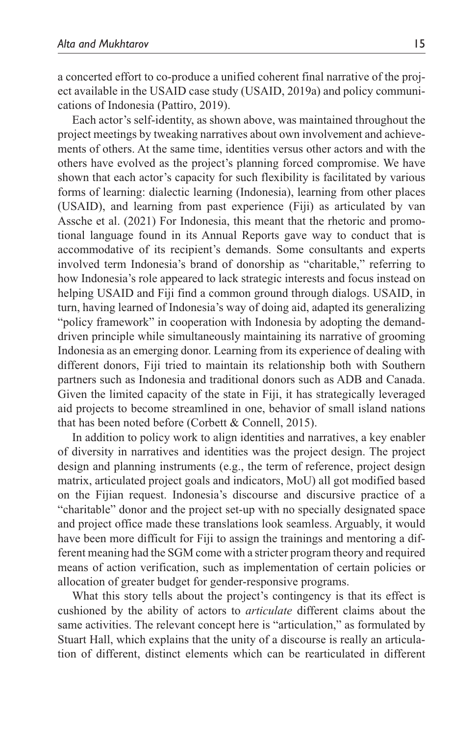a concerted effort to co-produce a unified coherent final narrative of the project available in the USAID case study (USAID, 2019a) and policy communications of Indonesia (Pattiro, 2019).

Each actor's self-identity, as shown above, was maintained throughout the project meetings by tweaking narratives about own involvement and achievements of others. At the same time, identities versus other actors and with the others have evolved as the project's planning forced compromise. We have shown that each actor's capacity for such flexibility is facilitated by various forms of learning: dialectic learning (Indonesia), learning from other places (USAID), and learning from past experience (Fiji) as articulated by van Assche et al. (2021) For Indonesia, this meant that the rhetoric and promotional language found in its Annual Reports gave way to conduct that is accommodative of its recipient's demands. Some consultants and experts involved term Indonesia's brand of donorship as "charitable," referring to how Indonesia's role appeared to lack strategic interests and focus instead on helping USAID and Fiji find a common ground through dialogs. USAID, in turn, having learned of Indonesia's way of doing aid, adapted its generalizing "policy framework" in cooperation with Indonesia by adopting the demanddriven principle while simultaneously maintaining its narrative of grooming Indonesia as an emerging donor. Learning from its experience of dealing with different donors, Fiji tried to maintain its relationship both with Southern partners such as Indonesia and traditional donors such as ADB and Canada. Given the limited capacity of the state in Fiji, it has strategically leveraged aid projects to become streamlined in one, behavior of small island nations that has been noted before (Corbett & Connell, 2015).

In addition to policy work to align identities and narratives, a key enabler of diversity in narratives and identities was the project design. The project design and planning instruments (e.g., the term of reference, project design matrix, articulated project goals and indicators, MoU) all got modified based on the Fijian request. Indonesia's discourse and discursive practice of a "charitable" donor and the project set-up with no specially designated space and project office made these translations look seamless. Arguably, it would have been more difficult for Fiji to assign the trainings and mentoring a different meaning had the SGM come with a stricter program theory and required means of action verification, such as implementation of certain policies or allocation of greater budget for gender-responsive programs.

What this story tells about the project's contingency is that its effect is cushioned by the ability of actors to *articulate* different claims about the same activities. The relevant concept here is "articulation," as formulated by Stuart Hall, which explains that the unity of a discourse is really an articulation of different, distinct elements which can be rearticulated in different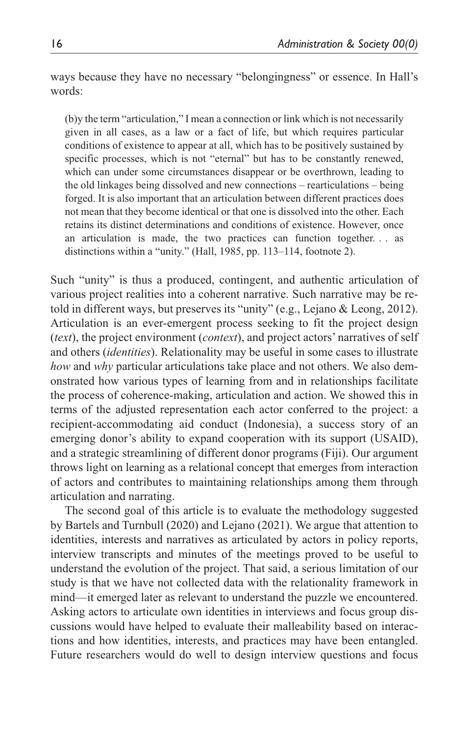ways because they have no necessary "belongingness" or essence. In Hall's words:

(b)y the term "articulation," I mean a connection or link which is not necessarily given in all cases, as a law or a fact of life, but which requires particular conditions of existence to appear at all, which has to be positively sustained by specific processes, which is not "eternal" but has to be constantly renewed, which can under some circumstances disappear or be overthrown, leading to the old linkages being dissolved and new connections – rearticulations – being forged. It is also important that an articulation between different practices does not mean that they become identical or that one is dissolved into the other. Each retains its distinct determinations and conditions of existence. However, once an articulation is made, the two practices can function together. . . as distinctions within a "unity." (Hall, 1985, pp. 113–114, footnote 2).

Such "unity" is thus a produced, contingent, and authentic articulation of various project realities into a coherent narrative. Such narrative may be retold in different ways, but preserves its "unity" (e.g., Lejano & Leong, 2012). Articulation is an ever-emergent process seeking to fit the project design (*text*), the project environment (*context*), and project actors' narratives of self and others (*identities*). Relationality may be useful in some cases to illustrate *how* and *why* particular articulations take place and not others. We also demonstrated how various types of learning from and in relationships facilitate the process of coherence-making, articulation and action. We showed this in terms of the adjusted representation each actor conferred to the project: a recipient-accommodating aid conduct (Indonesia), a success story of an emerging donor's ability to expand cooperation with its support (USAID), and a strategic streamlining of different donor programs (Fiji). Our argument throws light on learning as a relational concept that emerges from interaction of actors and contributes to maintaining relationships among them through articulation and narrating.

The second goal of this article is to evaluate the methodology suggested by Bartels and Turnbull (2020) and Lejano (2021). We argue that attention to identities, interests and narratives as articulated by actors in policy reports, interview transcripts and minutes of the meetings proved to be useful to understand the evolution of the project. That said, a serious limitation of our study is that we have not collected data with the relationality framework in mind—it emerged later as relevant to understand the puzzle we encountered. Asking actors to articulate own identities in interviews and focus group discussions would have helped to evaluate their malleability based on interactions and how identities, interests, and practices may have been entangled. Future researchers would do well to design interview questions and focus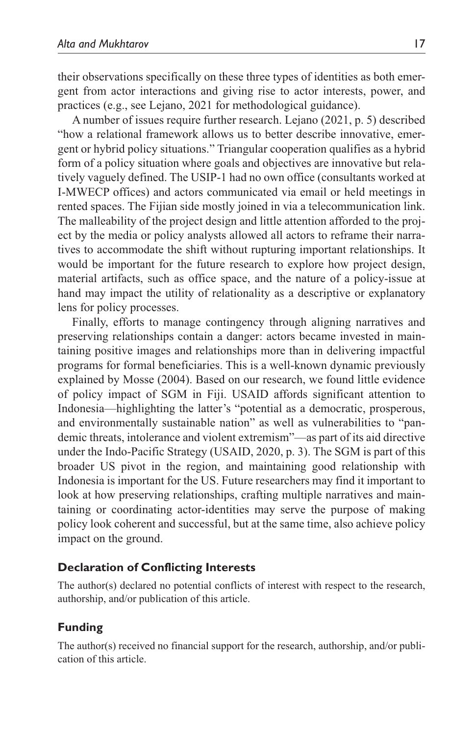their observations specifically on these three types of identities as both emergent from actor interactions and giving rise to actor interests, power, and practices (e.g., see Lejano, 2021 for methodological guidance).

A number of issues require further research. Lejano (2021, p. 5) described "how a relational framework allows us to better describe innovative, emergent or hybrid policy situations." Triangular cooperation qualifies as a hybrid form of a policy situation where goals and objectives are innovative but relatively vaguely defined. The USIP-1 had no own office (consultants worked at I-MWECP offices) and actors communicated via email or held meetings in rented spaces. The Fijian side mostly joined in via a telecommunication link. The malleability of the project design and little attention afforded to the project by the media or policy analysts allowed all actors to reframe their narratives to accommodate the shift without rupturing important relationships. It would be important for the future research to explore how project design, material artifacts, such as office space, and the nature of a policy-issue at hand may impact the utility of relationality as a descriptive or explanatory lens for policy processes.

Finally, efforts to manage contingency through aligning narratives and preserving relationships contain a danger: actors became invested in maintaining positive images and relationships more than in delivering impactful programs for formal beneficiaries. This is a well-known dynamic previously explained by Mosse (2004). Based on our research, we found little evidence of policy impact of SGM in Fiji. USAID affords significant attention to Indonesia—highlighting the latter's "potential as a democratic, prosperous, and environmentally sustainable nation" as well as vulnerabilities to "pandemic threats, intolerance and violent extremism"—as part of its aid directive under the Indo-Pacific Strategy (USAID, 2020, p. 3). The SGM is part of this broader US pivot in the region, and maintaining good relationship with Indonesia is important for the US. Future researchers may find it important to look at how preserving relationships, crafting multiple narratives and maintaining or coordinating actor-identities may serve the purpose of making policy look coherent and successful, but at the same time, also achieve policy impact on the ground.

## **Declaration of Conflicting Interests**

The author(s) declared no potential conflicts of interest with respect to the research, authorship, and/or publication of this article.

## **Funding**

The author(s) received no financial support for the research, authorship, and/or publication of this article.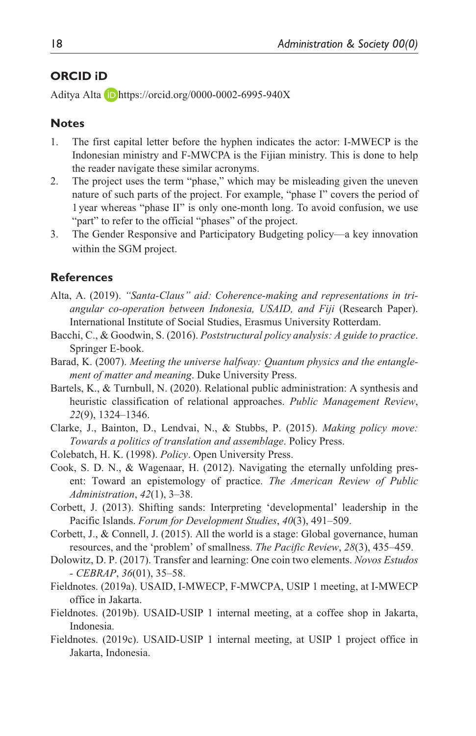## **ORCID iD**

Aditya Alta D<https://orcid.org/0000-0002-6995-940X>

### **Notes**

- 1. The first capital letter before the hyphen indicates the actor: I-MWECP is the Indonesian ministry and F-MWCPA is the Fijian ministry. This is done to help the reader navigate these similar acronyms.
- 2. The project uses the term "phase," which may be misleading given the uneven nature of such parts of the project. For example, "phase I" covers the period of 1year whereas "phase II" is only one-month long. To avoid confusion, we use "part" to refer to the official "phases" of the project.
- 3. The Gender Responsive and Participatory Budgeting policy—a key innovation within the SGM project.

#### **References**

- Alta, A. (2019). *"Santa-Claus" aid: Coherence-making and representations in triangular co-operation between Indonesia, USAID, and Fiji* (Research Paper). International Institute of Social Studies, Erasmus University Rotterdam.
- Bacchi, C., & Goodwin, S. (2016). *Poststructural policy analysis: A guide to practice*. Springer E-book.
- Barad, K. (2007). *Meeting the universe halfway: Quantum physics and the entanglement of matter and meaning*. Duke University Press.
- Bartels, K., & Turnbull, N. (2020). Relational public administration: A synthesis and heuristic classification of relational approaches. *Public Management Review*, *22*(9), 1324–1346.
- Clarke, J., Bainton, D., Lendvai, N., & Stubbs, P. (2015). *Making policy move: Towards a politics of translation and assemblage*. Policy Press.
- Colebatch, H. K. (1998). *Policy*. Open University Press.
- Cook, S. D. N., & Wagenaar, H. (2012). Navigating the eternally unfolding present: Toward an epistemology of practice. *The American Review of Public Administration*, *42*(1), 3–38.
- Corbett, J. (2013). Shifting sands: Interpreting 'developmental' leadership in the Pacific Islands. *Forum for Development Studies*, *40*(3), 491–509.
- Corbett, J., & Connell, J. (2015). All the world is a stage: Global governance, human resources, and the 'problem' of smallness. *The Pacific Review*, *28*(3), 435–459.
- Dolowitz, D. P. (2017). Transfer and learning: One coin two elements. *Novos Estudos - CEBRAP*, *36*(01), 35–58.
- Fieldnotes. (2019a). USAID, I-MWECP, F-MWCPA, USIP 1 meeting, at I-MWECP office in Jakarta.
- Fieldnotes. (2019b). USAID-USIP 1 internal meeting, at a coffee shop in Jakarta, Indonesia.
- Fieldnotes. (2019c). USAID-USIP 1 internal meeting, at USIP 1 project office in Jakarta, Indonesia.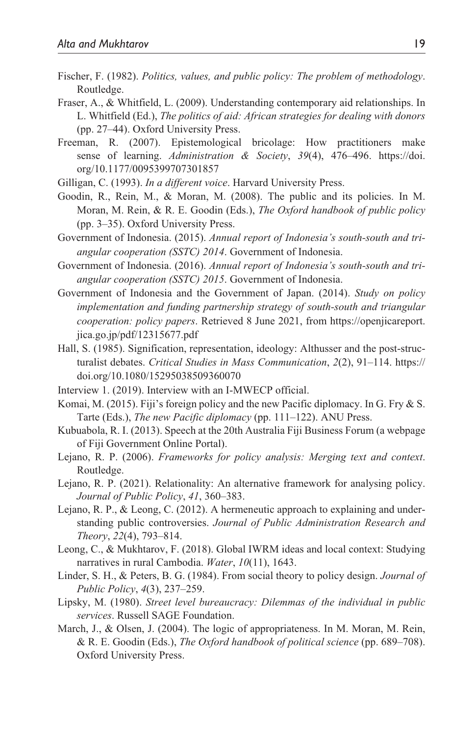- Fischer, F. (1982). *Politics, values, and public policy: The problem of methodology*. Routledge.
- Fraser, A., & Whitfield, L. (2009). Understanding contemporary aid relationships. In L. Whitfield (Ed.), *The politics of aid: African strategies for dealing with donors* (pp. 27–44). Oxford University Press.
- Freeman, R. (2007). Epistemological bricolage: How practitioners make sense of learning. *Administration & Society*, *39*(4), 476–496. [https://doi.](https://doi.org/10.1177/0095399707301857) [org/10.1177/0095399707301857](https://doi.org/10.1177/0095399707301857)
- Gilligan, C. (1993). *In a different voice*. Harvard University Press.
- Goodin, R., Rein, M., & Moran, M. (2008). The public and its policies. In M. Moran, M. Rein, & R. E. Goodin (Eds.), *The Oxford handbook of public policy* (pp. 3–35). Oxford University Press.
- Government of Indonesia. (2015). *Annual report of Indonesia's south-south and triangular cooperation (SSTC) 2014*. Government of Indonesia.
- Government of Indonesia. (2016). *Annual report of Indonesia's south-south and triangular cooperation (SSTC) 2015*. Government of Indonesia.
- Government of Indonesia and the Government of Japan. (2014). *Study on policy implementation and funding partnership strategy of south-south and triangular cooperation: policy papers*. Retrieved 8 June 2021, from [https://openjicareport.](https://openjicareport.jica.go.jp/pdf/12315677.pdf) [jica.go.jp/pdf/12315677.pdf](https://openjicareport.jica.go.jp/pdf/12315677.pdf)
- Hall, S. (1985). Signification, representation, ideology: Althusser and the post-structuralist debates. *Critical Studies in Mass Communication*, *2*(2), 91–114. [https://](https://doi.org/10.1080/15295038509360070) [doi.org/10.1080/15295038509360070](https://doi.org/10.1080/15295038509360070)
- Interview 1. (2019). Interview with an I-MWECP official.
- Komai, M. (2015). Fiji's foreign policy and the new Pacific diplomacy. In G. Fry & S. Tarte (Eds.), *The new Pacific diplomacy* (pp. 111–122). ANU Press.
- Kubuabola, R. I. (2013). Speech at the 20th Australia Fiji Business Forum (a webpage of Fiji Government Online Portal).
- Lejano, R. P. (2006). *Frameworks for policy analysis: Merging text and context*. Routledge.
- Lejano, R. P. (2021). Relationality: An alternative framework for analysing policy. *Journal of Public Policy*, *41*, 360–383.
- Lejano, R. P., & Leong, C. (2012). A hermeneutic approach to explaining and understanding public controversies. *Journal of Public Administration Research and Theory*, *22*(4), 793–814.
- Leong, C., & Mukhtarov, F. (2018). Global IWRM ideas and local context: Studying narratives in rural Cambodia. *Water*, *10*(11), 1643.
- Linder, S. H., & Peters, B. G. (1984). From social theory to policy design. *Journal of Public Policy*, *4*(3), 237–259.
- Lipsky, M. (1980). *Street level bureaucracy: Dilemmas of the individual in public services*. Russell SAGE Foundation.
- March, J., & Olsen, J. (2004). The logic of appropriateness. In M. Moran, M. Rein, & R. E. Goodin (Eds.), *The Oxford handbook of political science* (pp. 689–708). Oxford University Press.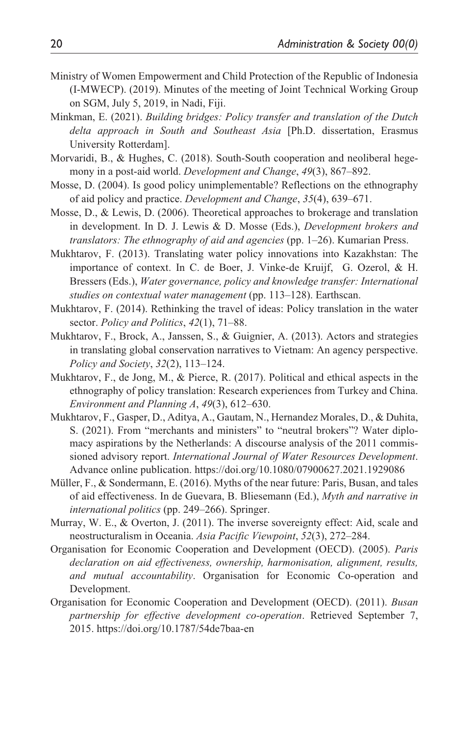- Ministry of Women Empowerment and Child Protection of the Republic of Indonesia (I-MWECP). (2019). Minutes of the meeting of Joint Technical Working Group on SGM, July 5, 2019, in Nadi, Fiji.
- Minkman, E. (2021). *Building bridges: Policy transfer and translation of the Dutch delta approach in South and Southeast Asia* [Ph.D. dissertation, Erasmus University Rotterdam].
- Morvaridi, B., & Hughes, C. (2018). South-South cooperation and neoliberal hegemony in a post-aid world. *Development and Change*, *49*(3), 867–892.
- Mosse, D. (2004). Is good policy unimplementable? Reflections on the ethnography of aid policy and practice. *Development and Change*, *35*(4), 639–671.
- Mosse, D., & Lewis, D. (2006). Theoretical approaches to brokerage and translation in development. In D. J. Lewis & D. Mosse (Eds.), *Development brokers and translators: The ethnography of aid and agencies* (pp. 1–26). Kumarian Press.
- Mukhtarov, F. (2013). Translating water policy innovations into Kazakhstan: The importance of context. In C. de Boer, J. Vinke-de Kruijf, G. Ozerol, & H. Bressers (Eds.), *Water governance, policy and knowledge transfer: International studies on contextual water management* (pp. 113–128). Earthscan.
- Mukhtarov, F. (2014). Rethinking the travel of ideas: Policy translation in the water sector. *Policy and Politics*, *42*(1), 71–88.
- Mukhtarov, F., Brock, A., Janssen, S., & Guignier, A. (2013). Actors and strategies in translating global conservation narratives to Vietnam: An agency perspective. *Policy and Society*, *32*(2), 113–124.
- Mukhtarov, F., de Jong, M., & Pierce, R. (2017). Political and ethical aspects in the ethnography of policy translation: Research experiences from Turkey and China. *Environment and Planning A*, *49*(3), 612–630.
- Mukhtarov, F., Gasper, D., Aditya, A., Gautam, N., Hernandez Morales, D., & Duhita, S. (2021). From "merchants and ministers" to "neutral brokers"? Water diplomacy aspirations by the Netherlands: A discourse analysis of the 2011 commissioned advisory report. *International Journal of Water Resources Development*. Advance online publication. <https://doi.org/10.1080/07900627.2021.1929086>
- Müller, F., & Sondermann, E. (2016). Myths of the near future: Paris, Busan, and tales of aid effectiveness. In de Guevara, B. Bliesemann (Ed.), *Myth and narrative in international politics* (pp. 249–266). Springer.
- Murray, W. E., & Overton, J. (2011). The inverse sovereignty effect: Aid, scale and neostructuralism in Oceania. *Asia Pacific Viewpoint*, *52*(3), 272–284.
- Organisation for Economic Cooperation and Development (OECD). (2005). *Paris declaration on aid effectiveness, ownership, harmonisation, alignment, results, and mutual accountability*. Organisation for Economic Co-operation and Development.
- Organisation for Economic Cooperation and Development (OECD). (2011). *Busan partnership for effective development co-operation*. Retrieved September 7, 2015.<https://doi.org/10.1787/54de7baa-en>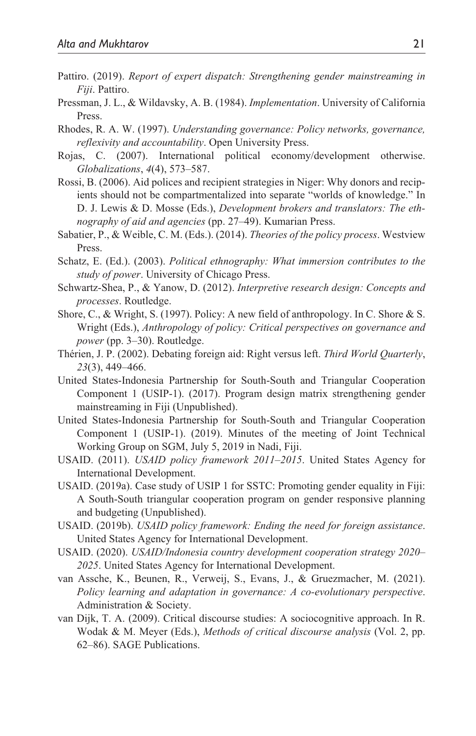- Pattiro. (2019). *Report of expert dispatch: Strengthening gender mainstreaming in Fiji*. Pattiro.
- Pressman, J. L., & Wildavsky, A. B. (1984). *Implementation*. University of California Press.
- Rhodes, R. A. W. (1997). *Understanding governance: Policy networks, governance, reflexivity and accountability*. Open University Press.
- Rojas, C. (2007). International political economy/development otherwise. *Globalizations*, *4*(4), 573–587.
- Rossi, B. (2006). Aid polices and recipient strategies in Niger: Why donors and recipients should not be compartmentalized into separate "worlds of knowledge." In D. J. Lewis & D. Mosse (Eds.), *Development brokers and translators: The ethnography of aid and agencies* (pp. 27–49). Kumarian Press.
- Sabatier, P., & Weible, C. M. (Eds.). (2014). *Theories of the policy process*. Westview Press.
- Schatz, E. (Ed.). (2003). *Political ethnography: What immersion contributes to the study of power*. University of Chicago Press.
- Schwartz-Shea, P., & Yanow, D. (2012). *Interpretive research design: Concepts and processes*. Routledge.
- Shore, C., & Wright, S. (1997). Policy: A new field of anthropology. In C. Shore & S. Wright (Eds.), *Anthropology of policy: Critical perspectives on governance and power* (pp. 3–30). Routledge.
- Thérien, J. P. (2002). Debating foreign aid: Right versus left. *Third World Quarterly*, *23*(3), 449–466.
- United States-Indonesia Partnership for South-South and Triangular Cooperation Component 1 (USIP-1). (2017). Program design matrix strengthening gender mainstreaming in Fiji (Unpublished).
- United States-Indonesia Partnership for South-South and Triangular Cooperation Component 1 (USIP-1). (2019). Minutes of the meeting of Joint Technical Working Group on SGM, July 5, 2019 in Nadi, Fiji.
- USAID. (2011). *USAID policy framework 2011–2015*. United States Agency for International Development.
- USAID. (2019a). Case study of USIP 1 for SSTC: Promoting gender equality in Fiji: A South-South triangular cooperation program on gender responsive planning and budgeting (Unpublished).
- USAID. (2019b). *USAID policy framework: Ending the need for foreign assistance*. United States Agency for International Development.
- USAID. (2020). *USAID/Indonesia country development cooperation strategy 2020– 2025*. United States Agency for International Development.
- van Assche, K., Beunen, R., Verweij, S., Evans, J., & Gruezmacher, M. (2021). *Policy learning and adaptation in governance: A co-evolutionary perspective*. Administration & Society.
- van Dijk, T. A. (2009). Critical discourse studies: A sociocognitive approach. In R. Wodak & M. Meyer (Eds.), *Methods of critical discourse analysis* (Vol. 2, pp. 62–86). SAGE Publications.